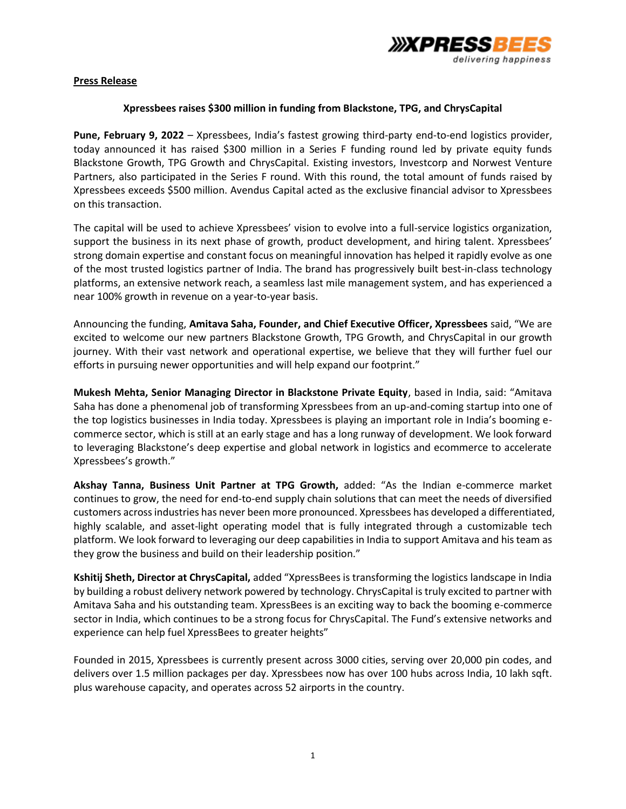

# **Press Release**

# **Xpressbees raises \$300 million in funding from Blackstone, TPG, and ChrysCapital**

**Pune, February 9, 2022** – Xpressbees, India's fastest growing third-party end-to-end logistics provider, today announced it has raised \$300 million in a Series F funding round led by private equity funds Blackstone Growth, TPG Growth and ChrysCapital. Existing investors, Investcorp and Norwest Venture Partners, also participated in the Series F round. With this round, the total amount of funds raised by Xpressbees exceeds \$500 million. Avendus Capital acted as the exclusive financial advisor to Xpressbees on this transaction.

The capital will be used to achieve Xpressbees' vision to evolve into a full-service logistics organization, support the business in its next phase of growth, product development, and hiring talent. Xpressbees' strong domain expertise and constant focus on meaningful innovation has helped it rapidly evolve as one of the most trusted logistics partner of India. The brand has progressively built best-in-class technology platforms, an extensive network reach, a seamless last mile management system, and has experienced a near 100% growth in revenue on a year-to-year basis.

Announcing the funding, **Amitava Saha, Founder, and Chief Executive Officer, Xpressbees** said, "We are excited to welcome our new partners Blackstone Growth, TPG Growth, and ChrysCapital in our growth journey. With their vast network and operational expertise, we believe that they will further fuel our efforts in pursuing newer opportunities and will help expand our footprint."

**Mukesh Mehta, Senior Managing Director in Blackstone Private Equity**, based in India, said: "Amitava Saha has done a phenomenal job of transforming Xpressbees from an up-and-coming startup into one of the top logistics businesses in India today. Xpressbees is playing an important role in India's booming ecommerce sector, which is still at an early stage and has a long runway of development. We look forward to leveraging Blackstone's deep expertise and global network in logistics and ecommerce to accelerate Xpressbees's growth."

**Akshay Tanna, Business Unit Partner at TPG Growth,** added: "As the Indian e-commerce market continues to grow, the need for end-to-end supply chain solutions that can meet the needs of diversified customers across industries has never been more pronounced. Xpressbees has developed a differentiated, highly scalable, and asset-light operating model that is fully integrated through a customizable tech platform. We look forward to leveraging our deep capabilities in India to support Amitava and his team as they grow the business and build on their leadership position."

**Kshitij Sheth, Director at ChrysCapital,** added "XpressBees is transforming the logistics landscape in India by building a robust delivery network powered by technology. ChrysCapital is truly excited to partner with Amitava Saha and his outstanding team. XpressBees is an exciting way to back the booming e-commerce sector in India, which continues to be a strong focus for ChrysCapital. The Fund's extensive networks and experience can help fuel XpressBees to greater heights"

Founded in 2015, Xpressbees is currently present across 3000 cities, serving over 20,000 pin codes, and delivers over 1.5 million packages per day. Xpressbees now has over 100 hubs across India, 10 lakh sqft. plus warehouse capacity, and operates across 52 airports in the country.